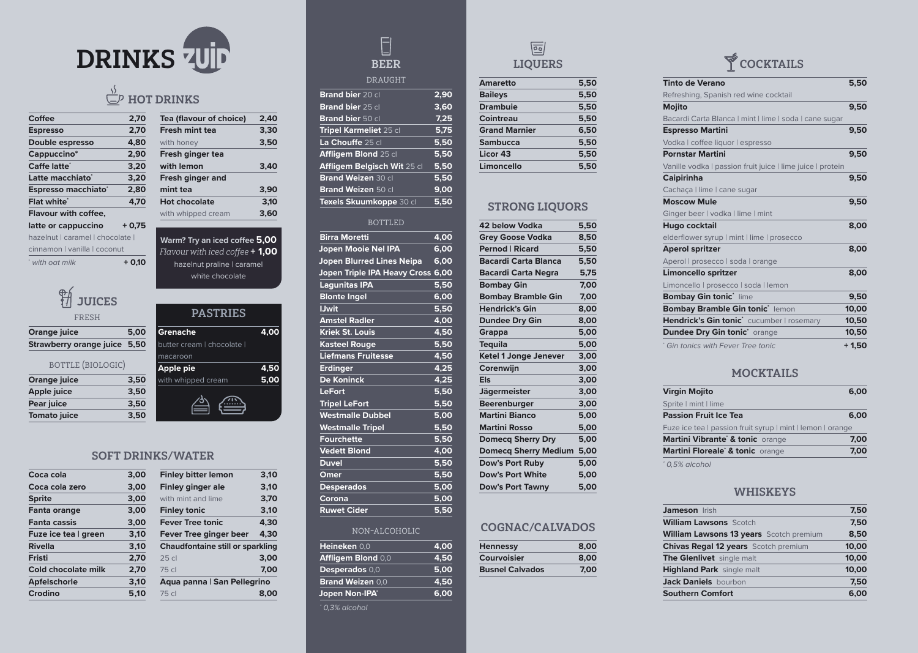| <b>Coffee</b>                  | 2,70    | Tea (flavour of choice)                                 | 2,40 |
|--------------------------------|---------|---------------------------------------------------------|------|
| <b>Espresso</b>                | 2,70    | <b>Fresh mint tea</b>                                   | 3,30 |
| <b>Double espresso</b>         | 4,80    | with honey                                              | 3,50 |
| Cappuccino*                    | 2,90    | Fresh ginger tea                                        |      |
| <b>Caffe latte<sup>®</sup></b> | 3,20    | with lemon                                              | 3,40 |
| Latte macchiato*               | 3,20    | <b>Fresh ginger and</b>                                 |      |
| Espresso macchiato*            | 2,80    | mint tea                                                | 3,90 |
| <b>Flat white*</b>             | 4,70    | <b>Hot chocolate</b>                                    | 3,10 |
| <b>Flavour with coffee,</b>    |         | with whipped cream                                      | 3,60 |
| latte or cappuccino            | $+0,75$ |                                                         |      |
| hazelnut   caramel   chocolate |         | $Morm$ Tru an icad caffoo $\overline{6}$ $\overline{0}$ |      |

cinnamon | vanilla | coconut

\* *with oat milk* **+ 0,10**

# $\begin{array}{c} \boxed{} \end{array}$ BEER

#### **DRAUGHT**

| 3,00 | <b>Finley bitter lemon</b>    | 3,10                                                                   |
|------|-------------------------------|------------------------------------------------------------------------|
| 3,00 | <b>Finley ginger ale</b>      | 3,10                                                                   |
| 3,00 | with mint and lime            | 3,70                                                                   |
| 3,00 | <b>Finley tonic</b>           | 3,10                                                                   |
| 3,00 | <b>Fever Tree tonic</b>       | 4,30                                                                   |
| 3,10 | <b>Fever Tree ginger beer</b> | 4,30                                                                   |
| 3,10 |                               |                                                                        |
| 2,70 | 25 <sub>cl</sub>              | 3,00                                                                   |
| 2,70 | 75 cl                         | 7,00                                                                   |
| 3,10 |                               |                                                                        |
| 5,10 | 75 cl                         | 8,00                                                                   |
|      |                               | <b>Chaudfontaine still or sparkling</b><br>Aqua panna   San Pellegrino |

**H** JUICES

#### SOFT DRINKS/WATER

| <b>JUICES</b>                  |      |                          |      |
|--------------------------------|------|--------------------------|------|
| <b>FRESH</b>                   |      | <b>PASTRIES</b>          |      |
| <b>Orange juice</b>            | 5,00 | <b>Grenache</b>          | 4.00 |
| <b>Strawberry orange juice</b> | 5,50 | butter cream   chocolate |      |
|                                |      | macaroon                 |      |
| <b>BOTTLE (BIOLOGIC)</b>       |      | <b>Apple pie</b>         | 4,50 |
| <b>Orange juice</b>            | 3,50 | with whipped cream       | 5,00 |
| <b>Apple juice</b>             | 3,50 |                          |      |
| Pear juice                     | 3,50 |                          |      |
| <b>Tomato juice</b>            | 3,50 |                          |      |
|                                |      |                          |      |

**Warm? Try an iced coffee 5,00** Flavour with iced coffee **+ 1,00** hazelnut praline | caramel white chocolate

| <b>Brand bier</b> 20 cl       | 2,90 |
|-------------------------------|------|
| Brand bier 25 cl              | 3,60 |
| <b>Brand bier 50 cl</b>       | 7,25 |
| <b>Tripel Karmeliet 25 cl</b> | 5,75 |
| La Chouffe 25 cl              | 5,50 |
| Affligem Blond 25 cl          | 5,50 |
| Affligem Belgisch Wit 25 cl   | 5,50 |
| Brand Weizen 30 cl            | 5,50 |
| <b>Brand Weizen 50 cl</b>     | 9,00 |
| Texels Skuumkoppe 30 cl       | 5,50 |

#### **BOTTLED**

| <b>Birra Moretti</b>                     | 4,00 |
|------------------------------------------|------|
| <b>Jopen Mooie Nel IPA</b>               | 6,00 |
| <b>Jopen Blurred Lines Neipa</b>         | 6,00 |
| <b>Jopen Triple IPA Heavy Cross 6,00</b> |      |
| <b>Lagunitas IPA</b>                     | 5,50 |
| <b>Blonte Ingel</b>                      | 6,00 |
| <b>IJwit</b>                             | 5,50 |
| <b>Amstel Radler</b>                     | 4,00 |
| <b>Kriek St. Louis</b>                   | 4,50 |
| <b>Kasteel Rouge</b>                     | 5,50 |
| <b>Liefmans Fruitesse</b>                | 4,50 |
| <b>Erdinger</b>                          | 4,25 |
| <b>De Koninck</b>                        | 4,25 |
| <b>LeFort</b>                            | 5,50 |
| <b>Tripel LeFort</b>                     | 5,50 |
| <b>Westmalle Dubbel</b>                  | 5,00 |
| <b>Westmalle Tripel</b>                  | 5,50 |
| <b>Fourchette</b>                        | 5,50 |
| <b>Vedett Blond</b>                      | 4,00 |
| <b>Duvel</b>                             | 5,50 |
| <b>Omer</b>                              | 5,50 |
| <b>Desperados</b>                        | 5,00 |
| Corona                                   | 5,00 |
| <b>Ruwet Cider</b>                       | 5,50 |

#### non-alcoholic

| Heineken 0,0              | 4,00 |
|---------------------------|------|
| <b>Affligem Blond 0,0</b> | 4,50 |
| Desperados 0,0            | 5,00 |
| <b>Brand Weizen 0,0</b>   | 4,50 |
| Jopen Non-IPA*            | 6,00 |

*\* 0,3% alcohol*



| <b>Amaretto</b>      | 5,50 |
|----------------------|------|
| <b>Baileys</b>       | 5,50 |
| <b>Drambuie</b>      | 5,50 |
| <b>Cointreau</b>     | 5,50 |
| <b>Grand Marnier</b> | 6,50 |
| <b>Sambucca</b>      | 5,50 |
| <b>Licor 43</b>      | 5,50 |
| Limoncello           | 5.50 |
|                      |      |

## STRONG LIQUORS

| <b>42 below Vodka</b>        | 5,50 |
|------------------------------|------|
| <b>Grey Goose Vodka</b>      | 8,50 |
| <b>Pernod   Ricard</b>       | 5,50 |
| <b>Bacardi Carta Blanca</b>  | 5,50 |
| <b>Bacardi Carta Negra</b>   | 5,75 |
| <b>Bombay Gin</b>            | 7,00 |
| <b>Bombay Bramble Gin</b>    | 7,00 |
| <b>Hendrick's Gin</b>        | 8,00 |
| <b>Dundee Dry Gin</b>        | 8,00 |
| <b>Grappa</b>                | 5,00 |
| <b>Tequila</b>               | 5,00 |
| <b>Ketel 1 Jonge Jenever</b> | 3,00 |
| Corenwijn                    | 3,00 |
| <b>Els</b>                   | 3,00 |
| <b>Jägermeister</b>          | 3,00 |
| <b>Beerenburger</b>          | 3,00 |
| <b>Martini Bianco</b>        | 5,00 |
| <b>Martini Rosso</b>         | 5,00 |
| <b>Domecq Sherry Dry</b>     | 5,00 |
| <b>Domecq Sherry Medium</b>  | 5,00 |
| <b>Dow's Port Ruby</b>       | 5,00 |
| <b>Dow's Port White</b>      | 5,00 |
| <b>Dow's Port Tawny</b>      | 5,00 |
|                              |      |

#### COGNAC/CALVADOS

| <b>Hennessy</b>        | 8,00 |
|------------------------|------|
| <b>Courvoisier</b>     | 8,00 |
| <b>Busnel Calvados</b> | 7,00 |



| <b>Tinto de Verano</b>                                     | 5,50    |
|------------------------------------------------------------|---------|
| Refreshing, Spanish red wine cocktail                      |         |
| <b>Mojito</b>                                              | 9,50    |
| Bacardi Carta Blanca   mint   lime   soda   cane sugar     |         |
| <b>Espresso Martini</b>                                    | 9,50    |
| Vodka   coffee liquor   espresso                           |         |
| <b>Pornstar Martini</b>                                    | 9,50    |
| Vanille vodka I passion fruit juice I lime juice I protein |         |
| <b>Caipirinha</b>                                          | 9,50    |
| Cachaça   lime   cane sugar                                |         |
| <b>Moscow Mule</b>                                         | 9,50    |
| Ginger beer   vodka   lime   mint                          |         |
| Hugo cocktail                                              | 8,00    |
| elderflower syrup   mint   lime   prosecco                 |         |
| <b>Aperol spritzer</b>                                     | 8,00    |
| Aperol   prosecco   soda   orange                          |         |
| <b>Limoncello spritzer</b>                                 | 8,00    |
| Limoncello   prosecco   soda   lemon                       |         |
| <b>Bombay Gin tonic' lime</b>                              | 9,50    |
| <b>Bombay Bramble Gin tonic' lemon</b>                     | 10,00   |
| Hendrick's Gin tonic <sup>*</sup> cucumber   rosemary      | 10,50   |
| <b>Dundee Dry Gin tonic' orange</b>                        | 10,50   |
| <sup>*</sup> Gin tonics with Fever Tree tonic              | $+1,50$ |

#### MOCKTAILS

| <b>Virgin Mojito</b>                                       | 6,00 |
|------------------------------------------------------------|------|
| Sprite   mint   lime                                       |      |
| <b>Passion Fruit Ice Tea</b>                               | 6,00 |
| Fuze ice tea I passion fruit syrup I mint I lemon I orange |      |
| Martini Vibrante <sup>*</sup> & tonic orange               | 7,00 |
| Martini Floreale <sup>*</sup> & tonic orange               | 7,00 |
|                                                            |      |

*\* 0,5% alcohol*

#### WHISKEYS

| Jameson Irish                                  | 7,50  |
|------------------------------------------------|-------|
| <b>William Lawsons Scotch</b>                  | 7,50  |
| <b>William Lawsons 13 years</b> Scotch premium | 8,50  |
| <b>Chivas Regal 12 years</b> Scotch premium    | 10,00 |
| The Glenlivet single malt                      | 10,00 |
| <b>Highland Park</b> single malt               | 10,00 |
| <b>Jack Daniels</b> bourbon                    | 7,50  |
| <b>Southern Comfort</b>                        | 6,00  |



# $\frac{\sqrt{5}}{2}$  HOT DRINKS